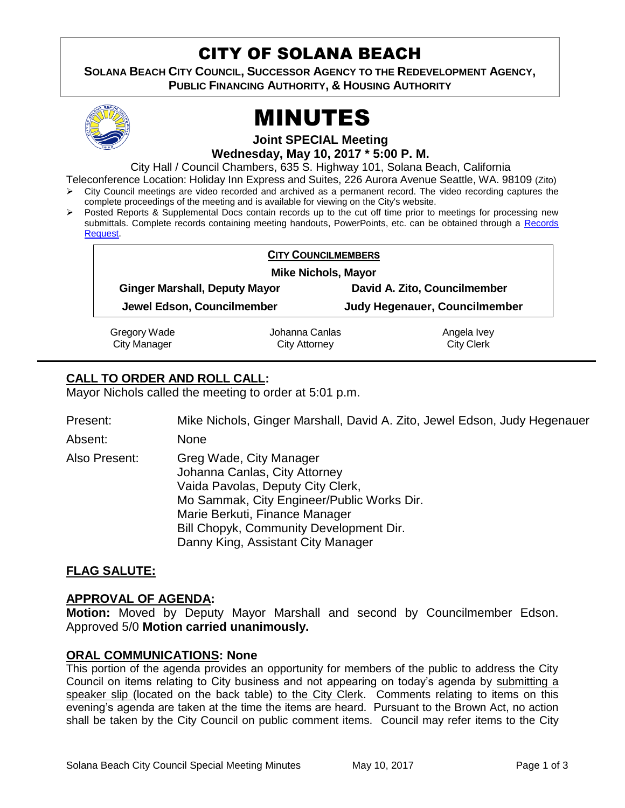# CITY OF SOLANA BEACH

**SOLANA BEACH CITY COUNCIL, SUCCESSOR AGENCY TO THE REDEVELOPMENT AGENCY, PUBLIC FINANCING AUTHORITY, & HOUSING AUTHORITY** 



# MINUTES

**Joint SPECIAL Meeting**

**Wednesday, May 10, 2017 \* 5:00 P. M.**

City Hall / Council Chambers, 635 S. Highway 101, Solana Beach, California

Teleconference Location: Holiday Inn Express and Suites, 226 Aurora Avenue Seattle, WA. 98109 (Zito) City Council meetings are video recorded and archived as a permanent record. The video recording captures the

- complete proceedings of the meeting and is available for viewing on the City's website.
- $\triangleright$  Posted Reports & Supplemental Docs contain records up to the cut off time prior to meetings for processing new submittals. Complete records containing meeting handouts, PowerPoints, etc. can be obtained through a Records [Request.](http://www.ci.solana-beach.ca.us/index.asp?SEC=F5D45D10-70CE-4291-A27C-7BD633FC6742&Type=B_BASIC)

| <b>CITY COUNCILMEMBERS</b>           |                |                               |
|--------------------------------------|----------------|-------------------------------|
| <b>Mike Nichols, Mayor</b>           |                |                               |
| <b>Ginger Marshall, Deputy Mayor</b> |                | David A. Zito, Councilmember  |
| Jewel Edson, Councilmember           |                | Judy Hegenauer, Councilmember |
| Gregory Wade                         | Johanna Canlas | Angela Ivey                   |
| <b>City Manager</b>                  | City Attorney  | <b>City Clerk</b>             |

# **CALL TO ORDER AND ROLL CALL:**

Mayor Nichols called the meeting to order at 5:01 p.m.

Present: Mike Nichols, Ginger Marshall, David A. Zito, Jewel Edson, Judy Hegenauer

Absent: None

Also Present: Greg Wade, City Manager Johanna Canlas, City Attorney Vaida Pavolas, Deputy City Clerk, Mo Sammak, City Engineer/Public Works Dir. Marie Berkuti, Finance Manager Bill Chopyk, Community Development Dir. Danny King, Assistant City Manager

## **FLAG SALUTE:**

## **APPROVAL OF AGENDA:**

**Motion:** Moved by Deputy Mayor Marshall and second by Councilmember Edson. Approved 5/0 **Motion carried unanimously.**

## **ORAL COMMUNICATIONS: None**

This portion of the agenda provides an opportunity for members of the public to address the City Council on items relating to City business and not appearing on today's agenda by submitting a speaker slip (located on the back table) to the City Clerk. Comments relating to items on this evening's agenda are taken at the time the items are heard. Pursuant to the Brown Act, no action shall be taken by the City Council on public comment items. Council may refer items to the City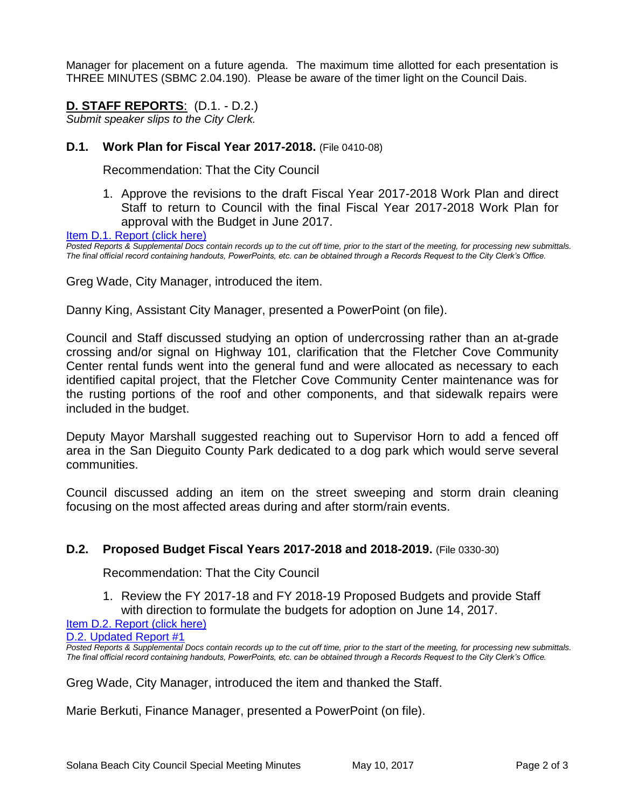Manager for placement on a future agenda. The maximum time allotted for each presentation is THREE MINUTES (SBMC 2.04.190). Please be aware of the timer light on the Council Dais.

# **D. STAFF REPORTS**: (D.1. - D.2.)

*Submit speaker slips to the City Clerk.*

#### **D.1. Work Plan for Fiscal Year 2017-2018.** (File 0410-08)

Recommendation: That the City Council

1. Approve the revisions to the draft Fiscal Year 2017-2018 Work Plan and direct Staff to return to Council with the final Fiscal Year 2017-2018 Work Plan for approval with the Budget in June 2017.

[Item D.1. Report \(click here\)](https://solanabeach.govoffice3.com/vertical/Sites/%7B840804C2-F869-4904-9AE3-720581350CE7%7D/uploads/Item_D.1._Report_(click_here)_5-10-2017.PDF) 

*Posted Reports & Supplemental Docs contain records up to the cut off time, prior to the start of the meeting, for processing new submittals. The final official record containing handouts, PowerPoints, etc. can be obtained through a Records Request to the City Clerk's Office.*

Greg Wade, City Manager, introduced the item.

Danny King, Assistant City Manager, presented a PowerPoint (on file).

Council and Staff discussed studying an option of undercrossing rather than an at-grade crossing and/or signal on Highway 101, clarification that the Fletcher Cove Community Center rental funds went into the general fund and were allocated as necessary to each identified capital project, that the Fletcher Cove Community Center maintenance was for the rusting portions of the roof and other components, and that sidewalk repairs were included in the budget.

Deputy Mayor Marshall suggested reaching out to Supervisor Horn to add a fenced off area in the San Dieguito County Park dedicated to a dog park which would serve several communities.

Council discussed adding an item on the street sweeping and storm drain cleaning focusing on the most affected areas during and after storm/rain events.

#### **D.2. Proposed Budget Fiscal Years 2017-2018 and 2018-2019.** (File 0330-30)

Recommendation: That the City Council

1. Review the FY 2017-18 and FY 2018-19 Proposed Budgets and provide Staff with direction to formulate the budgets for adoption on June 14, 2017.

#### [Item D.2. Report \(click here\)](https://solanabeach.govoffice3.com/vertical/Sites/%7B840804C2-F869-4904-9AE3-720581350CE7%7D/uploads/Item_D.2._Report_(click_here)_5-10-17.PDF)

[D.2. Updated Report #1](https://solanabeach.govoffice3.com/vertical/Sites/%7B840804C2-F869-4904-9AE3-720581350CE7%7D/uploads/D.2._Updated_Report_1_05-10-2017.pdf)

*Posted Reports & Supplemental Docs contain records up to the cut off time, prior to the start of the meeting, for processing new submittals. The final official record containing handouts, PowerPoints, etc. can be obtained through a Records Request to the City Clerk's Office.*

Greg Wade, City Manager, introduced the item and thanked the Staff.

Marie Berkuti, Finance Manager, presented a PowerPoint (on file).